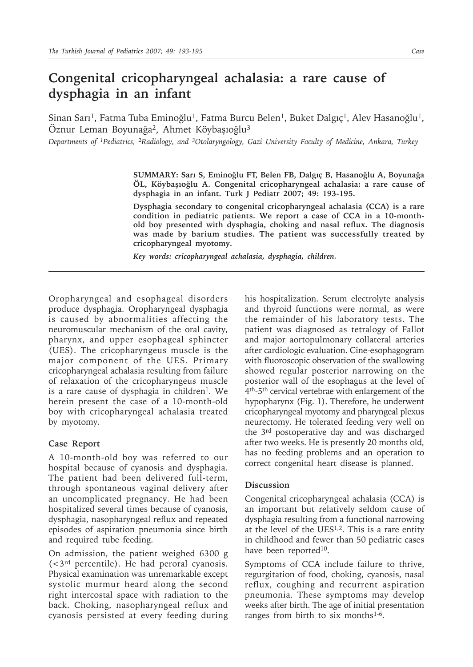## **Congenital cricopharyngeal achalasia: a rare cause of dysphagia in an infant**

Sinan Sarı<sup>1</sup>, Fatma Tuba Eminoğlu<sup>1</sup>, Fatma Burcu Belen<sup>1</sup>, Buket Dalgıç<sup>1</sup>, Alev Hasanoğlu<sup>1</sup>, Öznur Leman Boyunağa2, Ahmet Köybaşıoğlu3

*Departments of 1Pediatrics, 2Radiology, and 3Otolaryngology, Gazi University Faculty of Medicine, Ankara, Turkey*

**SUMMARY: Sarı S, Eminoğlu FT, Belen FB, Dalgıç B, Hasanoğlu A, Boyunağa ÖL, Köybaşıoğlu A. Congenital cricopharyngeal achalasia: a rare cause of dysphagia in an infant. Turk J Pediatr 2007; 49: 193-195.**

**Dysphagia secondary to congenital cricopharyngeal achalasia (CCA) is a rare condition in pediatric patients. We report a case of CCA in a 10-monthold boy presented with dysphagia, choking and nasal reflux. The diagnosis was made by barium studies. The patient was successfully treated by cricopharyngeal myotomy.**

*Key words: cricopharyngeal achalasia, dysphagia, children.*

Oropharyngeal and esophageal disorders produce dysphagia. Oropharyngeal dysphagia is caused by abnormalities affecting the neuromuscular mechanism of the oral cavity, pharynx, and upper esophageal sphincter (UES). The cricopharyngeus muscle is the major component of the UES. Primary cricopharyngeal achalasia resulting from failure of relaxation of the cricopharyngeus muscle is a rare cause of dysphagia in children<sup>1</sup>. We herein present the case of a 10-month-old boy with cricopharyngeal achalasia treated by myotomy.

## **Case Report**

A 10-month-old boy was referred to our hospital because of cyanosis and dysphagia. The patient had been delivered full-term, through spontaneous vaginal delivery after an uncomplicated pregnancy. He had been hospitalized several times because of cyanosis, dysphagia, nasopharyngeal reflux and repeated episodes of aspiration pneumonia since birth and required tube feeding.

On admission, the patient weighed 6300 g  $( $3^{rd}$  percentile). He had peroral cyanosis.$ Physical examination was unremarkable except systolic murmur heard along the second right intercostal space with radiation to the back. Choking, nasopharyngeal reflux and cyanosis persisted at every feeding during

his hospitalization. Serum electrolyte analysis and thyroid functions were normal, as were the remainder of his laboratory tests. The patient was diagnosed as tetralogy of Fallot and major aortopulmonary collateral arteries after cardiologic evaluation. Cine-esophagogram with fluoroscopic observation of the swallowing showed regular posterior narrowing on the posterior wall of the esophagus at the level of 4th-5th cervical vertebrae with enlargement of the hypopharynx (Fig. 1). Therefore, he underwent cricopharyngeal myotomy and pharyngeal plexus neurectomy. He tolerated feeding very well on the 3rd postoperative day and was discharged after two weeks. He is presently 20 months old, has no feeding problems and an operation to correct congenital heart disease is planned.

## **Discussion**

Congenital cricopharyngeal achalasia (CCA) is an important but relatively seldom cause of dysphagia resulting from a functional narrowing at the level of the UES1,2. This is a rare entity in childhood and fewer than 50 pediatric cases have been reported<sup>10</sup>.

Symptoms of CCA include failure to thrive, regurgitation of food, choking, cyanosis, nasal reflux, coughing and recurrent aspiration pneumonia. These symptoms may develop weeks after birth. The age of initial presentation ranges from birth to six months $1-6$ .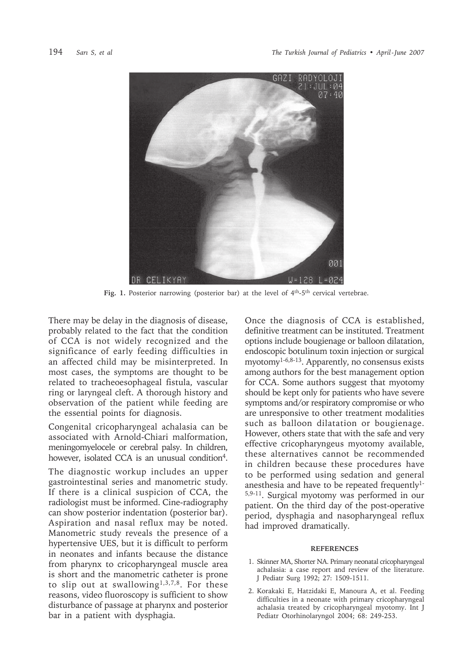

Fig. 1. Posterior narrowing (posterior bar) at the level of 4<sup>th</sup>-5<sup>th</sup> cervical vertebrae.

There may be delay in the diagnosis of disease, probably related to the fact that the condition of CCA is not widely recognized and the significance of early feeding difficulties in an affected child may be misinterpreted. In most cases, the symptoms are thought to be related to tracheoesophageal fistula, vascular ring or laryngeal cleft. A thorough history and observation of the patient while feeding are the essential points for diagnosis.

Congenital cricopharyngeal achalasia can be associated with Arnold-Chiari malformation, meningomyelocele or cerebral palsy. In children, however, isolated CCA is an unusual condition<sup>4</sup>.

The diagnostic workup includes an upper gastrointestinal series and manometric study. If there is a clinical suspicion of CCA, the radiologist must be informed. Cine-radiography can show posterior indentation (posterior bar). Aspiration and nasal reflux may be noted. Manometric study reveals the presence of a hypertensive UES, but it is difficult to perform in neonates and infants because the distance from pharynx to cricopharyngeal muscle area is short and the manometric catheter is prone to slip out at swallowing1,3,7,8. For these reasons, video fluoroscopy is sufficient to show disturbance of passage at pharynx and posterior bar in a patient with dysphagia.

Once the diagnosis of CCA is established, definitive treatment can be instituted. Treatment options include bougienage or balloon dilatation, endoscopic botulinum toxin injection or surgical myotomy1-6,8-13. Apparently, no consensus exists among authors for the best management option for CCA. Some authors suggest that myotomy should be kept only for patients who have severe symptoms and/or respiratory compromise or who are unresponsive to other treatment modalities such as balloon dilatation or bougienage. However, others state that with the safe and very effective cricopharyngeus myotomy available, these alternatives cannot be recommended in children because these procedures have to be performed using sedation and general anesthesia and have to be repeated frequently1- 5,9-11. Surgical myotomy was performed in our patient. On the third day of the post-operative period, dysphagia and nasopharyngeal reflux had improved dramatically.

## **REFERENCES**

- 1. Skinner MA, Shorter NA. Primary neonatal cricopharyngeal achalasia: a case report and review of the literature. J Pediatr Surg 1992; 27: 1509-1511.
- 2. Korakaki E, Hatzidaki E, Manoura A, et al. Feeding difficulties in a neonate with primary cricopharyngeal achalasia treated by cricopharyngeal myotomy. Int J Pediatr Otorhinolaryngol 2004; 68: 249-253.